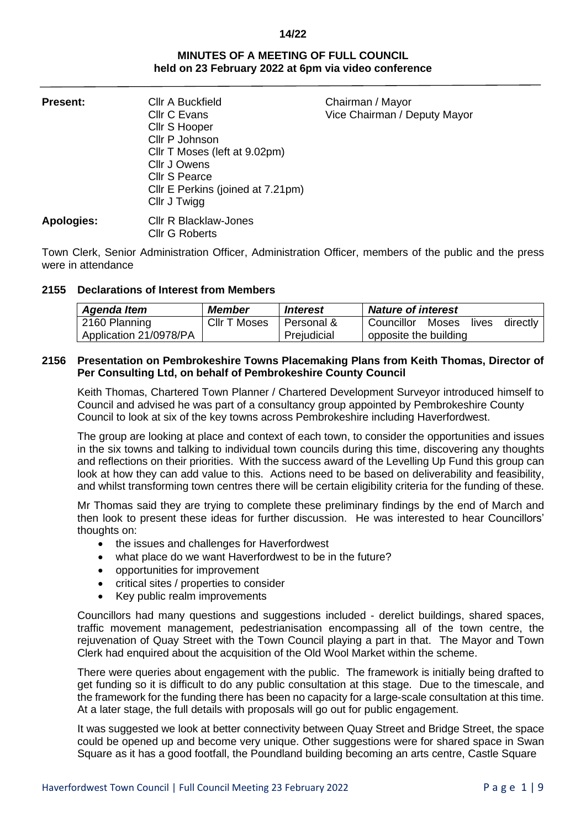# **MINUTES OF A MEETING OF FULL COUNCIL held on 23 February 2022 at 6pm via video conference**

| <b>Present:</b> | <b>CIIr A Buckfield</b><br>Cllr C Evans<br>Cllr S Hooper<br>Cllr P Johnson<br>Cllr T Moses (left at 9.02pm)<br>Cllr J Owens<br><b>Cllr S Pearce</b><br>CIIr E Perkins (joined at 7.21pm)<br>Cllr J Twigg | Chairman / Mayor<br>Vice Chairman / Deputy Mayor |
|-----------------|----------------------------------------------------------------------------------------------------------------------------------------------------------------------------------------------------------|--------------------------------------------------|
| Apologies:      | <b>CIIr R Blacklaw-Jones</b><br>Cllr G Roberts                                                                                                                                                           |                                                  |

Town Clerk, Senior Administration Officer, Administration Officer, members of the public and the press were in attendance

# **2155 Declarations of Interest from Members**

| Agenda Item            | Member       | Interest    | <b>Nature of interest</b>          |  |
|------------------------|--------------|-------------|------------------------------------|--|
| 2160 Planning          | CIIr T Moses | Personal &  | Councillor Moses lives<br>directly |  |
| Application 21/0978/PA |              | Prejudicial | opposite the building              |  |

# **2156 Presentation on Pembrokeshire Towns Placemaking Plans from Keith Thomas, Director of Per Consulting Ltd, on behalf of Pembrokeshire County Council**

Keith Thomas, Chartered Town Planner / Chartered Development Surveyor introduced himself to Council and advised he was part of a consultancy group appointed by Pembrokeshire County Council to look at six of the key towns across Pembrokeshire including Haverfordwest.

The group are looking at place and context of each town, to consider the opportunities and issues in the six towns and talking to individual town councils during this time, discovering any thoughts and reflections on their priorities. With the success award of the Levelling Up Fund this group can look at how they can add value to this. Actions need to be based on deliverability and feasibility, and whilst transforming town centres there will be certain eligibility criteria for the funding of these.

Mr Thomas said they are trying to complete these preliminary findings by the end of March and then look to present these ideas for further discussion. He was interested to hear Councillors' thoughts on:

- the issues and challenges for Haverfordwest
- what place do we want Haverfordwest to be in the future?
- opportunities for improvement
- critical sites / properties to consider
- Key public realm improvements

Councillors had many questions and suggestions included - derelict buildings, shared spaces, traffic movement management, pedestrianisation encompassing all of the town centre, the rejuvenation of Quay Street with the Town Council playing a part in that. The Mayor and Town Clerk had enquired about the acquisition of the Old Wool Market within the scheme.

There were queries about engagement with the public. The framework is initially being drafted to get funding so it is difficult to do any public consultation at this stage. Due to the timescale, and the framework for the funding there has been no capacity for a large-scale consultation at this time. At a later stage, the full details with proposals will go out for public engagement.

It was suggested we look at better connectivity between Quay Street and Bridge Street, the space could be opened up and become very unique. Other suggestions were for shared space in Swan Square as it has a good footfall, the Poundland building becoming an arts centre, Castle Square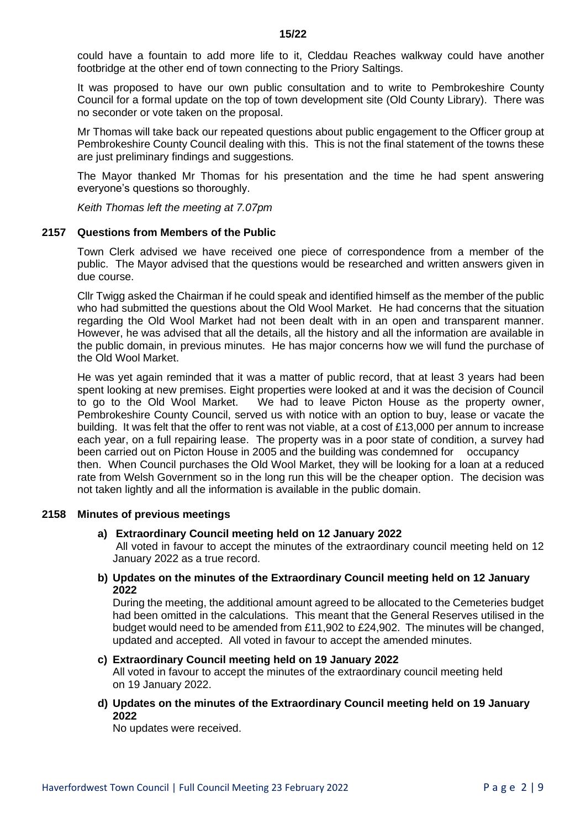could have a fountain to add more life to it, Cleddau Reaches walkway could have another footbridge at the other end of town connecting to the Priory Saltings.

It was proposed to have our own public consultation and to write to Pembrokeshire County Council for a formal update on the top of town development site (Old County Library). There was no seconder or vote taken on the proposal.

Mr Thomas will take back our repeated questions about public engagement to the Officer group at Pembrokeshire County Council dealing with this. This is not the final statement of the towns these are just preliminary findings and suggestions.

The Mayor thanked Mr Thomas for his presentation and the time he had spent answering everyone's questions so thoroughly.

*Keith Thomas left the meeting at 7.07pm*

## **2157 Questions from Members of the Public**

Town Clerk advised we have received one piece of correspondence from a member of the public. The Mayor advised that the questions would be researched and written answers given in due course.

Cllr Twigg asked the Chairman if he could speak and identified himself as the member of the public who had submitted the questions about the Old Wool Market. He had concerns that the situation regarding the Old Wool Market had not been dealt with in an open and transparent manner. However, he was advised that all the details, all the history and all the information are available in the public domain, in previous minutes. He has major concerns how we will fund the purchase of the Old Wool Market.

He was yet again reminded that it was a matter of public record, that at least 3 years had been spent looking at new premises. Eight properties were looked at and it was the decision of Council to go to the Old Wool Market. We had to leave Picton House as the property owner, Pembrokeshire County Council, served us with notice with an option to buy, lease or vacate the building. It was felt that the offer to rent was not viable, at a cost of £13,000 per annum to increase each year, on a full repairing lease. The property was in a poor state of condition, a survey had been carried out on Picton House in 2005 and the building was condemned for occupancy then. When Council purchases the Old Wool Market, they will be looking for a loan at a reduced rate from Welsh Government so in the long run this will be the cheaper option. The decision was not taken lightly and all the information is available in the public domain.

## **2158 Minutes of previous meetings**

## **a) Extraordinary Council meeting held on 12 January 2022**

All voted in favour to accept the minutes of the extraordinary council meeting held on 12 January 2022 as a true record.

**b) Updates on the minutes of the Extraordinary Council meeting held on 12 January 2022**

During the meeting, the additional amount agreed to be allocated to the Cemeteries budget had been omitted in the calculations. This meant that the General Reserves utilised in the budget would need to be amended from £11,902 to £24,902. The minutes will be changed, updated and accepted. All voted in favour to accept the amended minutes.

- **c) Extraordinary Council meeting held on 19 January 2022** All voted in favour to accept the minutes of the extraordinary council meeting held on 19 January 2022.
- **d) Updates on the minutes of the Extraordinary Council meeting held on 19 January 2022**

No updates were received.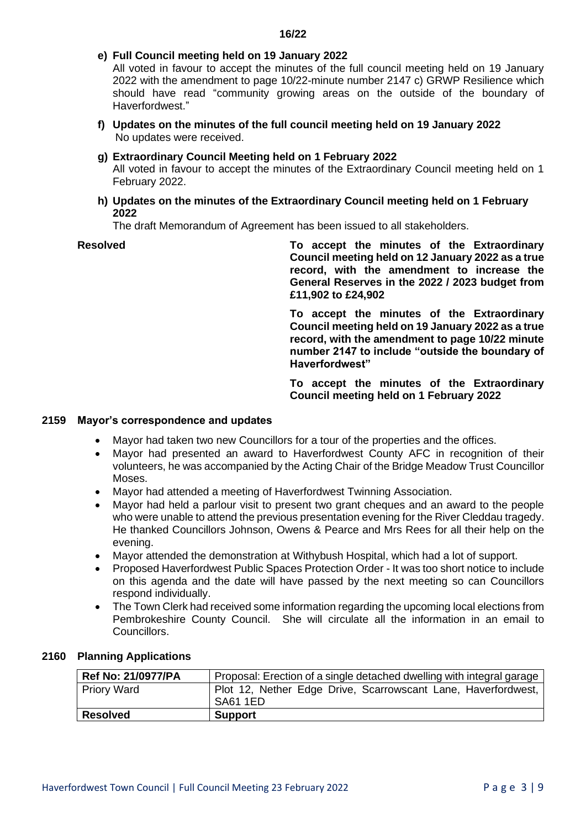**e) Full Council meeting held on 19 January 2022**

All voted in favour to accept the minutes of the full council meeting held on 19 January 2022 with the amendment to page 10/22-minute number 2147 c) GRWP Resilience which should have read "community growing areas on the outside of the boundary of Haverfordwest."

- **f) Updates on the minutes of the full council meeting held on 19 January 2022** No updates were received.
- **g) Extraordinary Council Meeting held on 1 February 2022**

All voted in favour to accept the minutes of the Extraordinary Council meeting held on 1 February 2022.

**h) Updates on the minutes of the Extraordinary Council meeting held on 1 February 2022**

The draft Memorandum of Agreement has been issued to all stakeholders.

**Resolved To accept the minutes of the Extraordinary Council meeting held on 12 January 2022 as a true record, with the amendment to increase the General Reserves in the 2022 / 2023 budget from £11,902 to £24,902**

> **To accept the minutes of the Extraordinary Council meeting held on 19 January 2022 as a true record, with the amendment to page 10/22 minute number 2147 to include "outside the boundary of Haverfordwest"**

> **To accept the minutes of the Extraordinary Council meeting held on 1 February 2022**

## **2159 Mayor's correspondence and updates**

- Mayor had taken two new Councillors for a tour of the properties and the offices.
- Mayor had presented an award to Haverfordwest County AFC in recognition of their volunteers, he was accompanied by the Acting Chair of the Bridge Meadow Trust Councillor Moses.
- Mayor had attended a meeting of Haverfordwest Twinning Association.
- Mayor had held a parlour visit to present two grant cheques and an award to the people who were unable to attend the previous presentation evening for the River Cleddau tragedy. He thanked Councillors Johnson, Owens & Pearce and Mrs Rees for all their help on the evening.
- Mayor attended the demonstration at Withybush Hospital, which had a lot of support.
- Proposed Haverfordwest Public Spaces Protection Order It was too short notice to include on this agenda and the date will have passed by the next meeting so can Councillors respond individually.
- The Town Clerk had received some information regarding the upcoming local elections from Pembrokeshire County Council. She will circulate all the information in an email to Councillors.

| <b>Ref No: 21/0977/PA</b> | Proposal: Erection of a single detached dwelling with integral garage            |
|---------------------------|----------------------------------------------------------------------------------|
| <b>Priory Ward</b>        | Plot 12, Nether Edge Drive, Scarrowscant Lane, Haverfordwest,<br><b>SA61 1ED</b> |
| <b>Resolved</b>           | <b>Support</b>                                                                   |

## **2160 Planning Applications**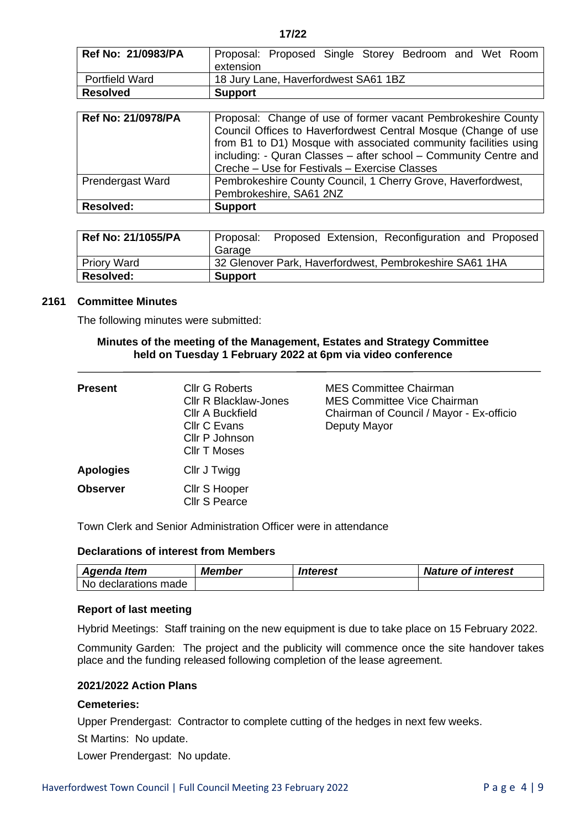| Ref No: 21/0983/PA        | Proposal: Proposed Single Storey Bedroom and Wet Room<br>extension                                                                                                                                                                                                                                                       |  |  |
|---------------------------|--------------------------------------------------------------------------------------------------------------------------------------------------------------------------------------------------------------------------------------------------------------------------------------------------------------------------|--|--|
| <b>Portfield Ward</b>     | 18 Jury Lane, Haverfordwest SA61 1BZ                                                                                                                                                                                                                                                                                     |  |  |
| <b>Resolved</b>           | <b>Support</b>                                                                                                                                                                                                                                                                                                           |  |  |
|                           |                                                                                                                                                                                                                                                                                                                          |  |  |
| <b>Ref No: 21/0978/PA</b> | Proposal: Change of use of former vacant Pembrokeshire County<br>Council Offices to Haverfordwest Central Mosque (Change of use<br>from B1 to D1) Mosque with associated community facilities using<br>including: - Quran Classes - after school - Community Centre and<br>Creche – Use for Festivals – Exercise Classes |  |  |
| Prendergast Ward          | Pembrokeshire County Council, 1 Cherry Grove, Haverfordwest,<br>Pembrokeshire, SA61 2NZ                                                                                                                                                                                                                                  |  |  |
| <b>Resolved:</b>          | <b>Support</b>                                                                                                                                                                                                                                                                                                           |  |  |

| Ref No: 21/1055/PA | Proposed Extension, Reconfiguration and Proposed<br>Proposal:<br>Garage |
|--------------------|-------------------------------------------------------------------------|
| <b>Priory Ward</b> | 32 Glenover Park, Haverfordwest, Pembrokeshire SA61 1HA                 |
| <b>Resolved:</b>   | <b>Support</b>                                                          |

#### **2161 Committee Minutes**

The following minutes were submitted:

#### **Minutes of the meeting of the Management, Estates and Strategy Committee held on Tuesday 1 February 2022 at 6pm via video conference**

| <b>Present</b>   | Cllr G Roberts<br>Cllr R Blacklaw-Jones<br><b>CIIr A Buckfield</b><br>Cllr C Evans<br>Cllr P Johnson<br>Cllr T Moses | <b>MES Committee Chairman</b><br>MES Committee Vice Chairman<br>Chairman of Council / Mayor - Ex-officio<br>Deputy Mayor |
|------------------|----------------------------------------------------------------------------------------------------------------------|--------------------------------------------------------------------------------------------------------------------------|
| <b>Apologies</b> | Cllr J Twigg                                                                                                         |                                                                                                                          |
| <b>Observer</b>  | Cllr S Hooper<br><b>Cllr S Pearce</b>                                                                                |                                                                                                                          |

Town Clerk and Senior Administration Officer were in attendance

# **Declarations of interest from Members**

| Agenda Item            | Member | Interest | <b>Nature of interest</b> |
|------------------------|--------|----------|---------------------------|
| l No declarations made |        |          |                           |

## **Report of last meeting**

Hybrid Meetings: Staff training on the new equipment is due to take place on 15 February 2022.

Community Garden: The project and the publicity will commence once the site handover takes place and the funding released following completion of the lease agreement.

# **2021/2022 Action Plans**

## **Cemeteries:**

Upper Prendergast: Contractor to complete cutting of the hedges in next few weeks.

St Martins: No update.

Lower Prendergast: No update.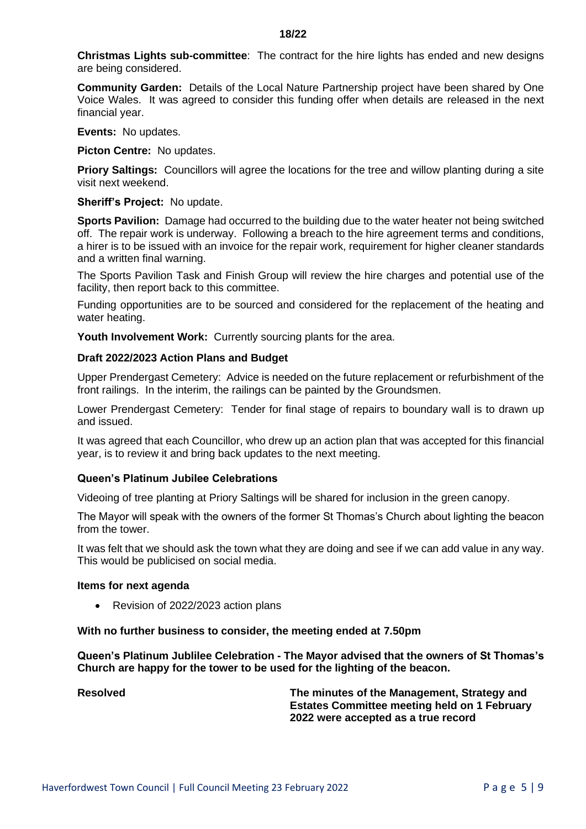**Christmas Lights sub-committee**: The contract for the hire lights has ended and new designs are being considered.

**Community Garden:** Details of the Local Nature Partnership project have been shared by One Voice Wales. It was agreed to consider this funding offer when details are released in the next financial year.

**Events:** No updates.

**Picton Centre:** No updates.

**Priory Saltings:** Councillors will agree the locations for the tree and willow planting during a site visit next weekend.

**Sheriff's Project:** No update.

**Sports Pavilion:** Damage had occurred to the building due to the water heater not being switched off. The repair work is underway. Following a breach to the hire agreement terms and conditions, a hirer is to be issued with an invoice for the repair work, requirement for higher cleaner standards and a written final warning.

The Sports Pavilion Task and Finish Group will review the hire charges and potential use of the facility, then report back to this committee.

Funding opportunities are to be sourced and considered for the replacement of the heating and water heating.

**Youth Involvement Work:** Currently sourcing plants for the area.

#### **Draft 2022/2023 Action Plans and Budget**

Upper Prendergast Cemetery: Advice is needed on the future replacement or refurbishment of the front railings. In the interim, the railings can be painted by the Groundsmen.

Lower Prendergast Cemetery: Tender for final stage of repairs to boundary wall is to drawn up and issued.

It was agreed that each Councillor, who drew up an action plan that was accepted for this financial year, is to review it and bring back updates to the next meeting.

## **Queen's Platinum Jubilee Celebrations**

Videoing of tree planting at Priory Saltings will be shared for inclusion in the green canopy.

The Mayor will speak with the owners of the former St Thomas's Church about lighting the beacon from the tower.

It was felt that we should ask the town what they are doing and see if we can add value in any way. This would be publicised on social media.

### **Items for next agenda**

• Revision of 2022/2023 action plans

#### **With no further business to consider, the meeting ended at 7.50pm**

**Queen's Platinum Jublilee Celebration - The Mayor advised that the owners of St Thomas's Church are happy for the tower to be used for the lighting of the beacon.**

**Resolved The minutes of the Management, Strategy and Estates Committee meeting held on 1 February 2022 were accepted as a true record**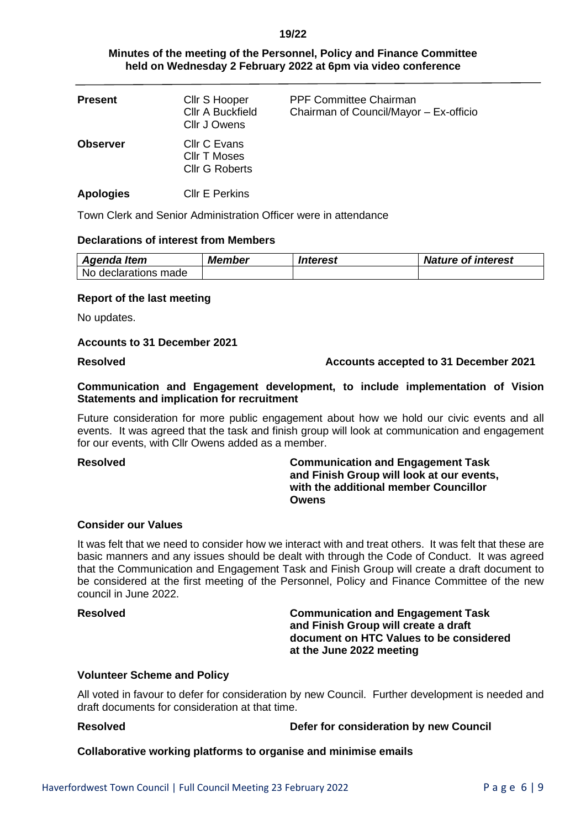# **Minutes of the meeting of the Personnel, Policy and Finance Committee held on Wednesday 2 February 2022 at 6pm via video conference**

| <b>Present</b>   | Cllr S Hooper<br><b>CIIr A Buckfield</b><br>Cllr J Owens | <b>PPF Committee Chairman</b><br>Chairman of Council/Mayor - Ex-officio |
|------------------|----------------------------------------------------------|-------------------------------------------------------------------------|
| <b>Observer</b>  | Cllr C Evans<br>Cllr T Moses<br><b>Cllr G Roberts</b>    |                                                                         |
| <b>Apologies</b> | <b>CIIr E Perkins</b>                                    |                                                                         |

Town Clerk and Senior Administration Officer were in attendance

## **Declarations of interest from Members**

| Agenda Item          | Member | Interest | <b>Nature of interest</b> |
|----------------------|--------|----------|---------------------------|
| No declarations made |        |          |                           |

# **Report of the last meeting**

No updates.

## **Accounts to 31 December 2021**

# **Resolved Accounts accepted to 31 December 2021**

# **Communication and Engagement development, to include implementation of Vision Statements and implication for recruitment**

Future consideration for more public engagement about how we hold our civic events and all events. It was agreed that the task and finish group will look at communication and engagement for our events, with Cllr Owens added as a member.

## **Resolved Communication and Engagement Task and Finish Group will look at our events, with the additional member Councillor Owens**

# **Consider our Values**

It was felt that we need to consider how we interact with and treat others. It was felt that these are basic manners and any issues should be dealt with through the Code of Conduct. It was agreed that the Communication and Engagement Task and Finish Group will create a draft document to be considered at the first meeting of the Personnel, Policy and Finance Committee of the new council in June 2022.

**Resolved Communication and Engagement Task and Finish Group will create a draft document on HTC Values to be considered at the June 2022 meeting**

## **Volunteer Scheme and Policy**

All voted in favour to defer for consideration by new Council. Further development is needed and draft documents for consideration at that time.

## **Resolved Defer for consideration by new Council**

**Collaborative working platforms to organise and minimise emails**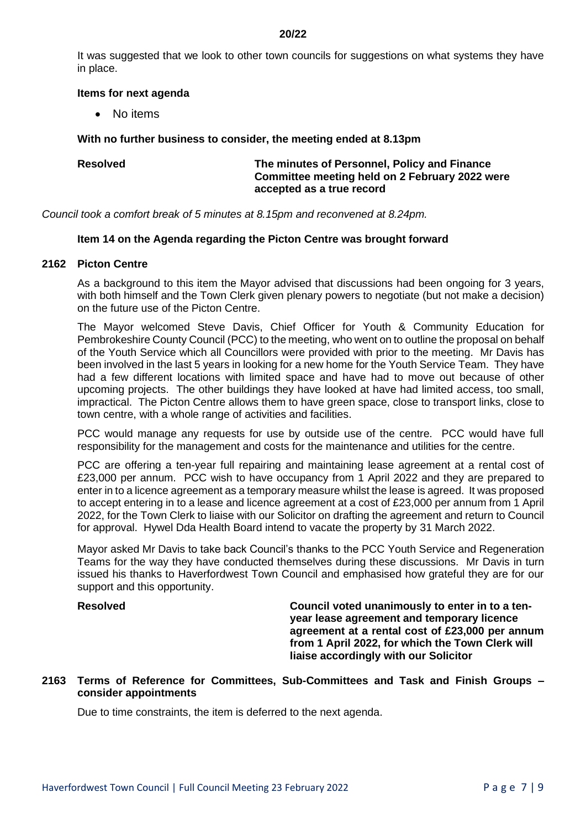It was suggested that we look to other town councils for suggestions on what systems they have in place.

## **Items for next agenda**

• No items

# **With no further business to consider, the meeting ended at 8.13pm**

# **Resolved The minutes of Personnel, Policy and Finance Committee meeting held on 2 February 2022 were accepted as a true record**

*Council took a comfort break of 5 minutes at 8.15pm and reconvened at 8.24pm.*

# **Item 14 on the Agenda regarding the Picton Centre was brought forward**

## **2162 Picton Centre**

As a background to this item the Mayor advised that discussions had been ongoing for 3 years, with both himself and the Town Clerk given plenary powers to negotiate (but not make a decision) on the future use of the Picton Centre.

The Mayor welcomed Steve Davis, Chief Officer for Youth & Community Education for Pembrokeshire County Council (PCC) to the meeting, who went on to outline the proposal on behalf of the Youth Service which all Councillors were provided with prior to the meeting. Mr Davis has been involved in the last 5 years in looking for a new home for the Youth Service Team. They have had a few different locations with limited space and have had to move out because of other upcoming projects. The other buildings they have looked at have had limited access, too small, impractical. The Picton Centre allows them to have green space, close to transport links, close to town centre, with a whole range of activities and facilities.

PCC would manage any requests for use by outside use of the centre. PCC would have full responsibility for the management and costs for the maintenance and utilities for the centre.

PCC are offering a ten-year full repairing and maintaining lease agreement at a rental cost of £23,000 per annum. PCC wish to have occupancy from 1 April 2022 and they are prepared to enter in to a licence agreement as a temporary measure whilst the lease is agreed. It was proposed to accept entering in to a lease and licence agreement at a cost of £23,000 per annum from 1 April 2022, for the Town Clerk to liaise with our Solicitor on drafting the agreement and return to Council for approval. Hywel Dda Health Board intend to vacate the property by 31 March 2022.

Mayor asked Mr Davis to take back Council's thanks to the PCC Youth Service and Regeneration Teams for the way they have conducted themselves during these discussions. Mr Davis in turn issued his thanks to Haverfordwest Town Council and emphasised how grateful they are for our support and this opportunity.

**Resolved Council voted unanimously to enter in to a tenyear lease agreement and temporary licence agreement at a rental cost of £23,000 per annum from 1 April 2022, for which the Town Clerk will liaise accordingly with our Solicitor** 

# **2163 Terms of Reference for Committees, Sub-Committees and Task and Finish Groups – consider appointments**

Due to time constraints, the item is deferred to the next agenda.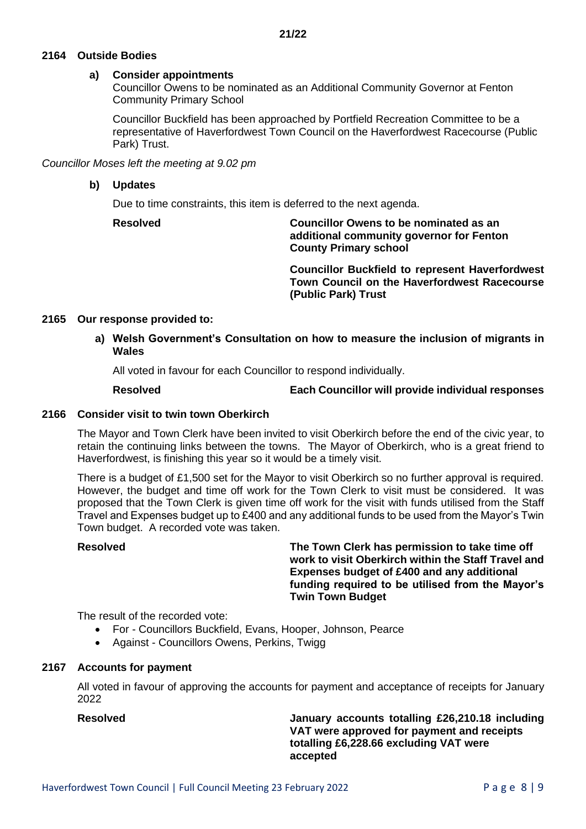# **2164 Outside Bodies**

# **a) Consider appointments**

Councillor Owens to be nominated as an Additional Community Governor at Fenton Community Primary School

Councillor Buckfield has been approached by Portfield Recreation Committee to be a representative of Haverfordwest Town Council on the Haverfordwest Racecourse (Public Park) Trust.

*Councillor Moses left the meeting at 9.02 pm*

# **b) Updates**

Due to time constraints, this item is deferred to the next agenda.

**Resolved Councillor Owens to be nominated as an additional community governor for Fenton County Primary school**

> **Councillor Buckfield to represent Haverfordwest Town Council on the Haverfordwest Racecourse (Public Park) Trust**

# **2165 Our response provided to:**

**a) Welsh Government's Consultation on how to measure the inclusion of migrants in Wales**

All voted in favour for each Councillor to respond individually.

**Resolved Each Councillor will provide individual responses**

# **2166 Consider visit to twin town Oberkirch**

The Mayor and Town Clerk have been invited to visit Oberkirch before the end of the civic year, to retain the continuing links between the towns. The Mayor of Oberkirch, who is a great friend to Haverfordwest, is finishing this year so it would be a timely visit.

There is a budget of £1,500 set for the Mayor to visit Oberkirch so no further approval is required. However, the budget and time off work for the Town Clerk to visit must be considered. It was proposed that the Town Clerk is given time off work for the visit with funds utilised from the Staff Travel and Expenses budget up to £400 and any additional funds to be used from the Mayor's Twin Town budget. A recorded vote was taken.

**Resolved The Town Clerk has permission to take time off work to visit Oberkirch within the Staff Travel and Expenses budget of £400 and any additional funding required to be utilised from the Mayor's Twin Town Budget**

The result of the recorded vote:

- For Councillors Buckfield, Evans, Hooper, Johnson, Pearce
- Against Councillors Owens, Perkins, Twigg

# **2167 Accounts for payment**

All voted in favour of approving the accounts for payment and acceptance of receipts for January 2022

**Resolved January accounts totalling £26,210.18 including VAT were approved for payment and receipts totalling £6,228.66 excluding VAT were accepted**